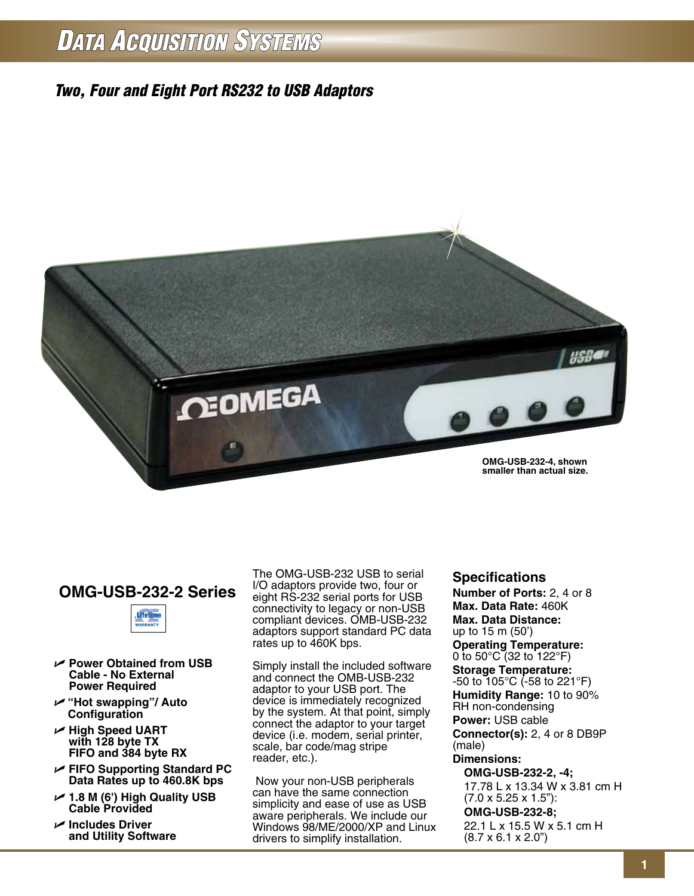## **DATA ACQUISITION SYSTEMS**

### *Two, Four and Eight Port RS232 to USB Adaptors*



## **OMG-USB-232-2 Series**



- U **Power Obtained from USB Cable - No External Power Required**
- U **"Hot swapping"/ Auto Configuration**
- U **High Speed UART with 128 byte TX FIFO and 384 byte RX**
- U **FIFO Supporting Standard PC Data Rates up to 460.8K bps**
- U **1.8 M (6') High Quality USB Cable Provided**
- U **Includes Driver and Utility Software**

The OMG-USB-232 USB to serial I/O adaptors provide two, four or eight RS-232 serial ports for USB connectivity to legacy or non-USB compliant devices. OMB-USB-232 adaptors support standard PC data rates up to 460K bps.

Simply install the included software and connect the OMB-USB-232 adaptor to your USB port. The device is immediately recognized by the system. At that point, simply connect the adaptor to your target device (i.e. modem, serial printer, scale, bar code/mag stripe reader, etc.).

 Now your non-USB peripherals can have the same connection simplicity and ease of use as USB aware peripherals. We include our Windows 98/ME/2000/XP and Linux drivers to simplify installation.

#### **Specifications**

**Number of Ports:** 2, 4 or 8 **Max. Data Rate:** 460K **Max. Data Distance:**  up to 15 m (50') **Operating Temperature:**  0 to 50°C (32 to 122°F) **Storage Temperature:**  -50 to 105°C (-58 to 221°F) **Humidity Range:** 10 to 90% RH non-condensing **Power:** USB cable **Connector(s):** 2, 4 or 8 DB9P (male)

#### **Dimensions:**

**OMG-USB-232-2, -4;** 17.78 L x 13.34 W x 3.81 cm H (7.0 x 5.25 x 1.5"): **OMG-USB-232-8;** 22.1 L x 15.5 W x 5.1 cm H (8.7 x 6.1 x 2.0")